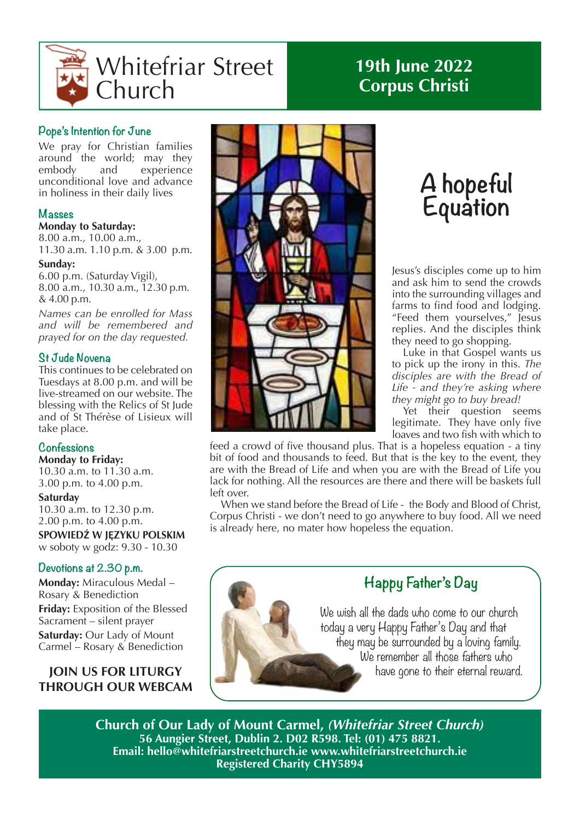

# **19th June 2022 Corpus Christi**

# **Pope's Intention for June**

We pray for Christian families around the world; may they embody and experience unconditional love and advance in holiness in their daily lives

# **Masses**

#### **Monday to Saturday:**

8.00 a.m., 10.00 a.m., 11.30 a.m. 1.10 p.m. & 3.00 p.m.

#### **Sunday:**

6.00 p.m. (Saturday Vigil), 8.00 a.m., 10.30 a.m., 12.30 p.m. & 4.00 p.m.

*Names can be enrolled for Mass and will be remembered and prayed for on the day requested.*

## **St Jude Novena**

This continues to be celebrated on Tuesdays at 8.00 p.m. and will be live-streamed on our website. The blessing with the Relics of St Jude and of St Thérèse of Lisieux will take place.

# **Confessions**

**Monday to Friday:** 10.30 a.m. to 11.30 a.m. 3.00 p.m. to 4.00 p.m.

#### **Saturday**

10.30 a.m. to 12.30 p.m. 2.00 p.m. to 4.00 p.m.

**SPOWIEDŹ W JĘZYKU POLSKIM** w soboty w godz: 9.30 - 10.30

# **Devotions at 2.30 p.m.**

**Monday:** Miraculous Medal – Rosary & Benediction

**Friday:** Exposition of the Blessed Sacrament – silent prayer **Saturday:** Our Lady of Mount Carmel – Rosary & Benediction

# **JOIN US FOR LITURGY THROUGH OUR WEBCAM**



# **A hopeful Equation**

Jesus's disciples come up to him and ask him to send the crowds into the surrounding villages and farms to find food and lodging. "Feed them yourselves," Jesus replies. And the disciples think they need to go shopping.

Luke in that Gospel wants us to pick up the irony in this. *The disciples are with the Bread of Life - and they're asking where they might go to buy bread!*

Yet their question seems legitimate. They have only five loaves and two fish with which to

feed a crowd of five thousand plus. That is a hopeless equation - a tiny bit of food and thousands to feed. But that is the key to the event, they are with the Bread of Life and when you are with the Bread of Life you lack for nothing. All the resources are there and there will be baskets full left over.

When we stand before the Bread of Life - the Body and Blood of Christ, Corpus Christi - we don't need to go anywhere to buy food. All we need is already here, no mater how hopeless the equation.



**Church of Our Lady of Mount Carmel,** *(Whitefriar Street Church)* **56 Aungier Street, Dublin 2. D02 R598. Tel: (01) 475 8821. Email: hello@whitefriarstreetchurch.ie www.whitefriarstreetchurch.ie Registered Charity CHY5894**